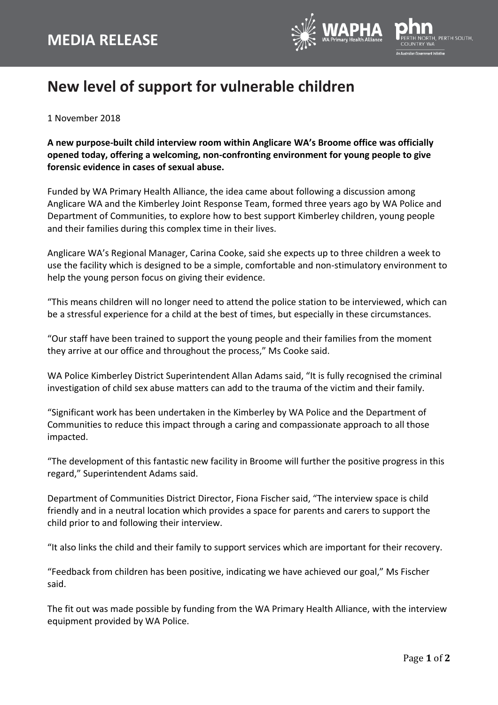

## **New level of support for vulnerable children**

1 November 2018

**A new purpose-built child interview room within Anglicare WA's Broome office was officially opened today, offering a welcoming, non-confronting environment for young people to give forensic evidence in cases of sexual abuse.**

Funded by WA Primary Health Alliance, the idea came about following a discussion among Anglicare WA and the Kimberley Joint Response Team, formed three years ago by WA Police and Department of Communities, to explore how to best support Kimberley children, young people and their families during this complex time in their lives.

Anglicare WA's Regional Manager, Carina Cooke, said she expects up to three children a week to use the facility which is designed to be a simple, comfortable and non-stimulatory environment to help the young person focus on giving their evidence.

"This means children will no longer need to attend the police station to be interviewed, which can be a stressful experience for a child at the best of times, but especially in these circumstances.

"Our staff have been trained to support the young people and their families from the moment they arrive at our office and throughout the process," Ms Cooke said.

WA Police Kimberley District Superintendent Allan Adams said, "It is fully recognised the criminal investigation of child sex abuse matters can add to the trauma of the victim and their family.

"Significant work has been undertaken in the Kimberley by WA Police and the Department of Communities to reduce this impact through a caring and compassionate approach to all those impacted.

"The development of this fantastic new facility in Broome will further the positive progress in this regard," Superintendent Adams said.

Department of Communities District Director, Fiona Fischer said, "The interview space is child friendly and in a neutral location which provides a space for parents and carers to support the child prior to and following their interview.

"It also links the child and their family to support services which are important for their recovery.

"Feedback from children has been positive, indicating we have achieved our goal," Ms Fischer said.

The fit out was made possible by funding from the WA Primary Health Alliance, with the interview equipment provided by WA Police.